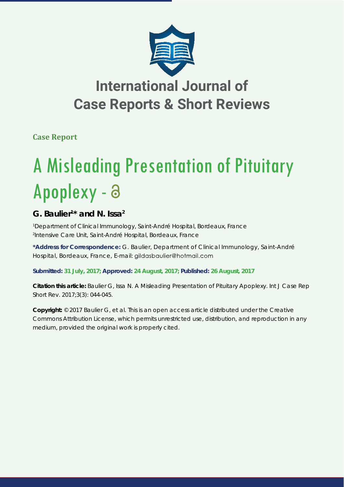

## **International Journal of Case Reports & Short Reviews**

**Case Report**

# A Misleading Presentation of Pituitary Apoplexy - a

### **G. Baulier1 \* and N. Issa2**

*1 Department of Clinical Immunology, Saint-André Hospital, Bordeaux, France 2 Intensive Care Unit, Saint-André Hospital, Bordeaux, France*

**\*Address for Correspondence:** G. Baulier, Department of Clinical Immunology, Saint-André Hospital, Bordeaux, France, E-mail: gildasbaulier@hotmail.com

**Submitted: 31 July, 2017; Approved: 24 August, 2017; Published: 26 August, 2017**

**Citation this article:** Baulier G, Issa N. A Misleading Presentation of Pituitary Apoplexy. Int J Case Rep Short Rev. 2017;3(3): 044-045.

**Copyright:** © 2017 Baulier G, et al. This is an open access article distributed under the Creative Commons Attribution License, which permits unrestricted use, distribution, and reproduction in any medium, provided the original work is properly cited.